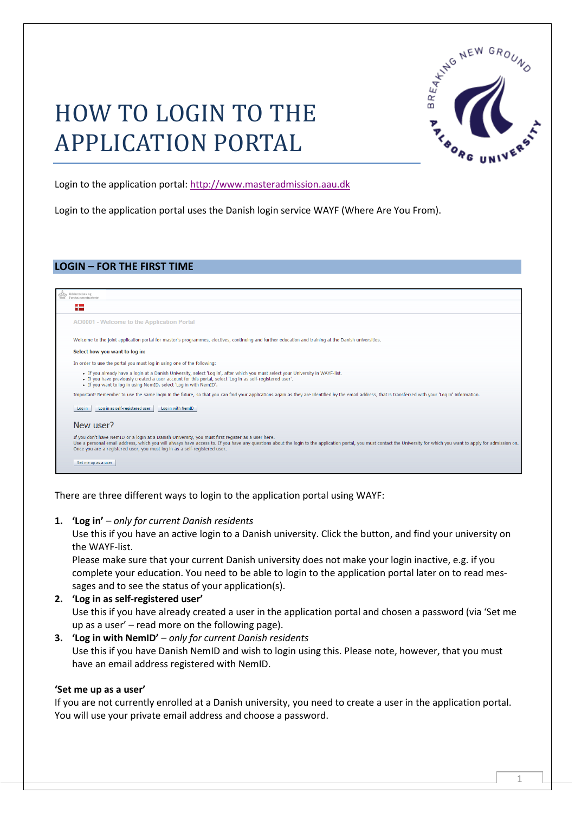# HOW TO LOGIN TO THE APPLICATION PORTAL



Login to the application portal: [http://www.masteradmission.aau.dk](http://www.masteradmission.aau.dk/)

Login to the application portal uses the Danish login service WAYF (Where Are You From).

## **LOGIN – FOR THE FIRST TIME**

| a po<br>┯                                                                                                                                                                                                                                                                                                                                                                                                  |  |
|------------------------------------------------------------------------------------------------------------------------------------------------------------------------------------------------------------------------------------------------------------------------------------------------------------------------------------------------------------------------------------------------------------|--|
| AO0001 - Welcome to the Application Portal                                                                                                                                                                                                                                                                                                                                                                 |  |
| Welcome to the joint application portal for master's programmes, electives, continuing and further education and training at the Danish universities.                                                                                                                                                                                                                                                      |  |
| Select how you want to log in:                                                                                                                                                                                                                                                                                                                                                                             |  |
| In order to use the portal you must log in using one of the following:                                                                                                                                                                                                                                                                                                                                     |  |
| . If you already have a login at a Danish University, select 'Log in', after which you must select your University in WAYF-list.<br>• If you have previously created a user account for this portal, select 'Log in as self-registered user'.<br>. If you want to log in using NemID, select 'Log in with NemID'.                                                                                          |  |
| Important! Remember to use the same login in the future, so that you can find your applications again as they are identified by the email address, that is transferred with your 'Log in' information.                                                                                                                                                                                                     |  |
| Log in as self-registered user<br>Log in with NemID<br>Log in                                                                                                                                                                                                                                                                                                                                              |  |
| New user?                                                                                                                                                                                                                                                                                                                                                                                                  |  |
| If you don't have NemID or a login at a Danish University, you must first register as a user here.<br>Use a personal email address, which you will always have access to. If you have any questions about the login to the application portal, you must contact the University for which you want to apply for admission on.<br>Once you are a registered user, you must log in as a self-registered user. |  |
| Set me up as a user                                                                                                                                                                                                                                                                                                                                                                                        |  |

There are three different ways to login to the application portal using WAYF:

## **1. 'Log in'** *– only for current Danish residents*

Use this if you have an active login to a Danish university. Click the button, and find your university on the WAYF-list.

Please make sure that your current Danish university does not make your login inactive, e.g. if you complete your education. You need to be able to login to the application portal later on to read messages and to see the status of your application(s).

## **2. 'Log in as self-registered user'** Use this if you have already created a user in the application portal and chosen a password (via 'Set me up as a user' – read more on the following page).

## **3. 'Log in with NemID'** *– only for current Danish residents* Use this if you have Danish NemID and wish to login using this. Please note, however, that you must have an email address registered with NemID.

## **'Set me up as a user'**

If you are not currently enrolled at a Danish university, you need to create a user in the application portal. You will use your private email address and choose a password.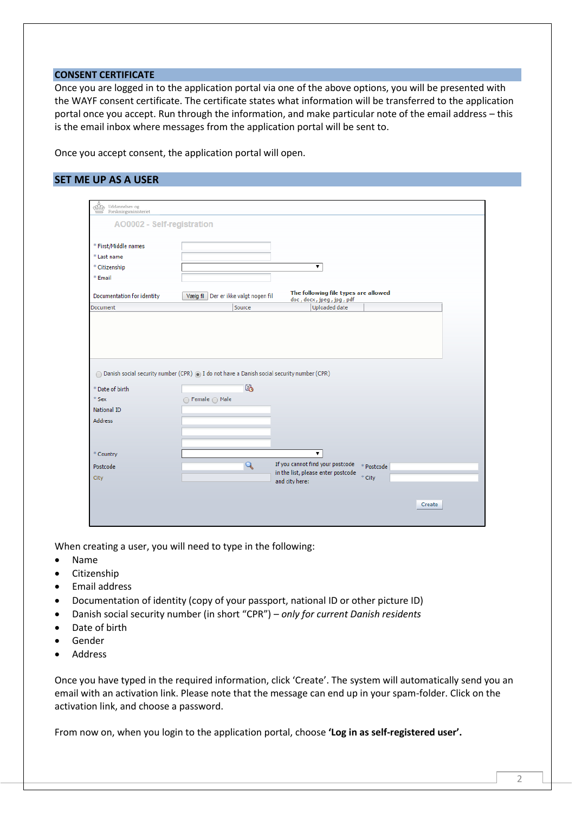#### **CONSENT CERTIFICATE**

Once you are logged in to the application portal via one of the above options, you will be presented with the WAYF consent certificate. The certificate states what information will be transferred to the application portal once you accept. Run through the information, and make particular note of the email address – this is the email inbox where messages from the application portal will be sent to.

Once you accept consent, the application portal will open.

## **SET ME UP AS A USER**

| * First/Middle names                             |                                                                                             |                                                                                      |  |
|--------------------------------------------------|---------------------------------------------------------------------------------------------|--------------------------------------------------------------------------------------|--|
| * Last name                                      |                                                                                             |                                                                                      |  |
| * Citizenship                                    |                                                                                             | ▼                                                                                    |  |
| * Email                                          |                                                                                             |                                                                                      |  |
| Documentation for identity                       | Der er ikke valgt nogen fil<br>Vælg fil                                                     | The following file types are allowed<br>doc, docx, jpeg, jpg, pdf                    |  |
| <b>Document</b>                                  | Source                                                                                      | <b>Uploaded date</b>                                                                 |  |
|                                                  | ◯ Danish social security number (CPR) ⊙ I do not have a Danish social security number (CPR) |                                                                                      |  |
| * Date of birth<br>$*$ Sex<br><b>National ID</b> | 陷<br>◯ Female ( Male                                                                        |                                                                                      |  |
| <b>Address</b>                                   |                                                                                             |                                                                                      |  |
| * Country                                        |                                                                                             | ▼.                                                                                   |  |
| Postcode                                         | Q                                                                                           | If you cannot find your postcode<br>* Postcode<br>in the list, please enter postcode |  |

When creating a user, you will need to type in the following:

- Name
- Citizenship
- Email address
- Documentation of identity (copy of your passport, national ID or other picture ID)
- Danish social security number (in short "CPR") *only for current Danish residents*
- Date of birth
- Gender
- Address

Once you have typed in the required information, click 'Create'. The system will automatically send you an email with an activation link. Please note that the message can end up in your spam-folder. Click on the activation link, and choose a password.

From now on, when you login to the application portal, choose **'Log in as self-registered user'.**

2